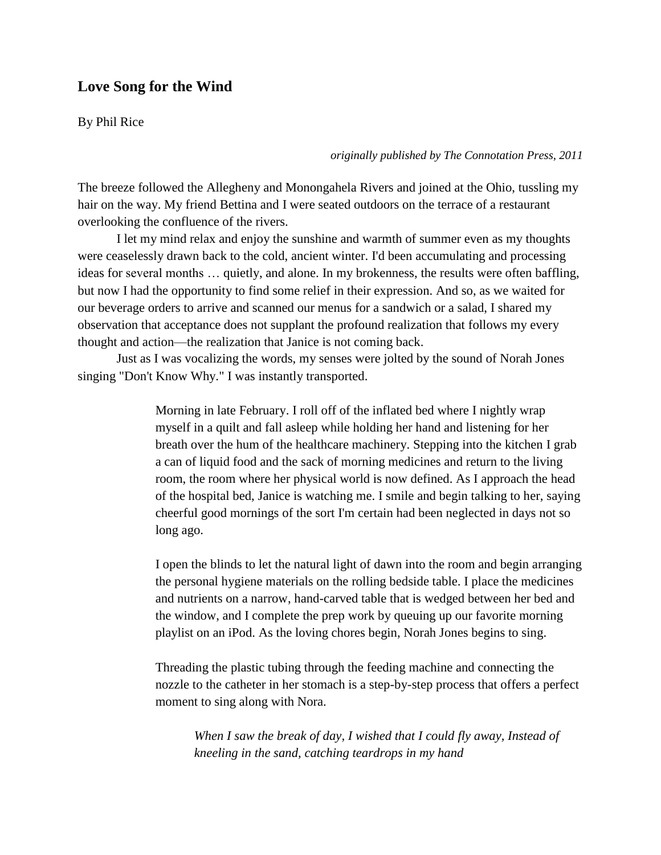## **Love Song for the Wind**

By Phil Rice

*originally published by The Connotation Press, 2011*

The breeze followed the Allegheny and Monongahela Rivers and joined at the Ohio, tussling my hair on the way. My friend Bettina and I were seated outdoors on the terrace of a restaurant overlooking the confluence of the rivers.

I let my mind relax and enjoy the sunshine and warmth of summer even as my thoughts were ceaselessly drawn back to the cold, ancient winter. I'd been accumulating and processing ideas for several months … quietly, and alone. In my brokenness, the results were often baffling, but now I had the opportunity to find some relief in their expression. And so, as we waited for our beverage orders to arrive and scanned our menus for a sandwich or a salad, I shared my observation that acceptance does not supplant the profound realization that follows my every thought and action—the realization that Janice is not coming back.

Just as I was vocalizing the words, my senses were jolted by the sound of Norah Jones singing "Don't Know Why." I was instantly transported.

> Morning in late February. I roll off of the inflated bed where I nightly wrap myself in a quilt and fall asleep while holding her hand and listening for her breath over the hum of the healthcare machinery. Stepping into the kitchen I grab a can of liquid food and the sack of morning medicines and return to the living room, the room where her physical world is now defined. As I approach the head of the hospital bed, Janice is watching me. I smile and begin talking to her, saying cheerful good mornings of the sort I'm certain had been neglected in days not so long ago.

> I open the blinds to let the natural light of dawn into the room and begin arranging the personal hygiene materials on the rolling bedside table. I place the medicines and nutrients on a narrow, hand-carved table that is wedged between her bed and the window, and I complete the prep work by queuing up our favorite morning playlist on an iPod. As the loving chores begin, Norah Jones begins to sing.

> Threading the plastic tubing through the feeding machine and connecting the nozzle to the catheter in her stomach is a step-by-step process that offers a perfect moment to sing along with Nora.

*When I saw the break of day, I wished that I could fly away, Instead of kneeling in the sand, catching teardrops in my hand*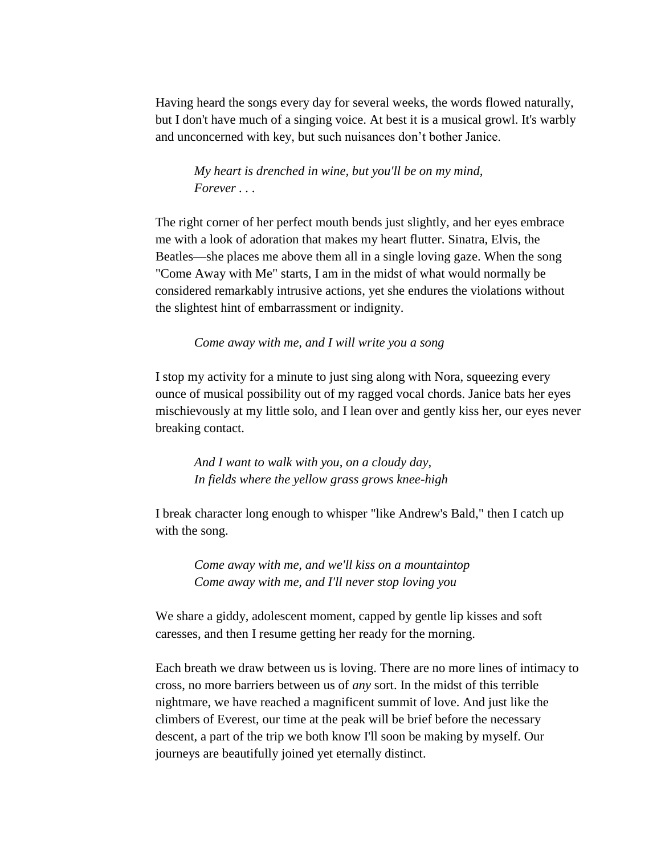Having heard the songs every day for several weeks, the words flowed naturally, but I don't have much of a singing voice. At best it is a musical growl. It's warbly and unconcerned with key, but such nuisances don't bother Janice.

*My heart is drenched in wine, but you'll be on my mind, Forever . . .* 

The right corner of her perfect mouth bends just slightly, and her eyes embrace me with a look of adoration that makes my heart flutter. Sinatra, Elvis, the Beatles—she places me above them all in a single loving gaze. When the song "Come Away with Me" starts, I am in the midst of what would normally be considered remarkably intrusive actions, yet she endures the violations without the slightest hint of embarrassment or indignity.

*Come away with me, and I will write you a song*

I stop my activity for a minute to just sing along with Nora, squeezing every ounce of musical possibility out of my ragged vocal chords. Janice bats her eyes mischievously at my little solo, and I lean over and gently kiss her, our eyes never breaking contact.

*And I want to walk with you, on a cloudy day, In fields where the yellow grass grows knee-high*

I break character long enough to whisper "like Andrew's Bald," then I catch up with the song.

*Come away with me, and we'll kiss on a mountaintop Come away with me, and I'll never stop loving you*

We share a giddy, adolescent moment, capped by gentle lip kisses and soft caresses, and then I resume getting her ready for the morning.

Each breath we draw between us is loving. There are no more lines of intimacy to cross, no more barriers between us of *any* sort. In the midst of this terrible nightmare, we have reached a magnificent summit of love. And just like the climbers of Everest, our time at the peak will be brief before the necessary descent, a part of the trip we both know I'll soon be making by myself. Our journeys are beautifully joined yet eternally distinct.